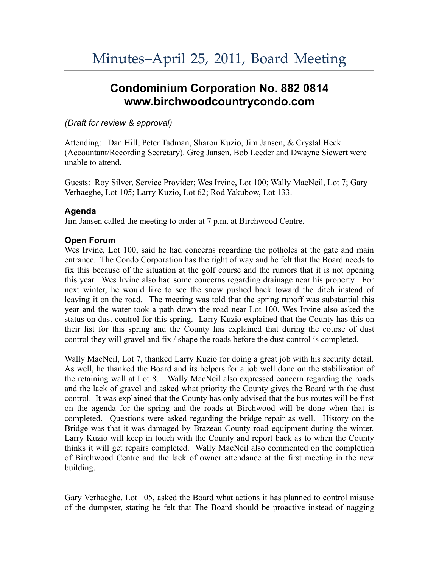# **Condominium Corporation No. 882 0814 www.birchwoodcountrycondo.com**

## *(Draft for review & approval)*

Attending: Dan Hill, Peter Tadman, Sharon Kuzio, Jim Jansen, & Crystal Heck (Accountant/Recording Secretary). Greg Jansen, Bob Leeder and Dwayne Siewert were unable to attend.

Guests: Roy Silver, Service Provider; Wes Irvine, Lot 100; Wally MacNeil, Lot 7; Gary Verhaeghe, Lot 105; Larry Kuzio, Lot 62; Rod Yakubow, Lot 133.

## **Agenda**

Jim Jansen called the meeting to order at 7 p.m. at Birchwood Centre.

## **Open Forum**

Wes Irvine, Lot 100, said he had concerns regarding the potholes at the gate and main entrance. The Condo Corporation has the right of way and he felt that the Board needs to fix this because of the situation at the golf course and the rumors that it is not opening this year. Wes Irvine also had some concerns regarding drainage near his property. For next winter, he would like to see the snow pushed back toward the ditch instead of leaving it on the road. The meeting was told that the spring runoff was substantial this year and the water took a path down the road near Lot 100. Wes Irvine also asked the status on dust control for this spring. Larry Kuzio explained that the County has this on their list for this spring and the County has explained that during the course of dust control they will gravel and fix / shape the roads before the dust control is completed.

Wally MacNeil, Lot 7, thanked Larry Kuzio for doing a great job with his security detail. As well, he thanked the Board and its helpers for a job well done on the stabilization of the retaining wall at Lot 8. Wally MacNeil also expressed concern regarding the roads and the lack of gravel and asked what priority the County gives the Board with the dust control. It was explained that the County has only advised that the bus routes will be first on the agenda for the spring and the roads at Birchwood will be done when that is completed. Questions were asked regarding the bridge repair as well. History on the Bridge was that it was damaged by Brazeau County road equipment during the winter. Larry Kuzio will keep in touch with the County and report back as to when the County thinks it will get repairs completed. Wally MacNeil also commented on the completion of Birchwood Centre and the lack of owner attendance at the first meeting in the new building.

Gary Verhaeghe, Lot 105, asked the Board what actions it has planned to control misuse of the dumpster, stating he felt that The Board should be proactive instead of nagging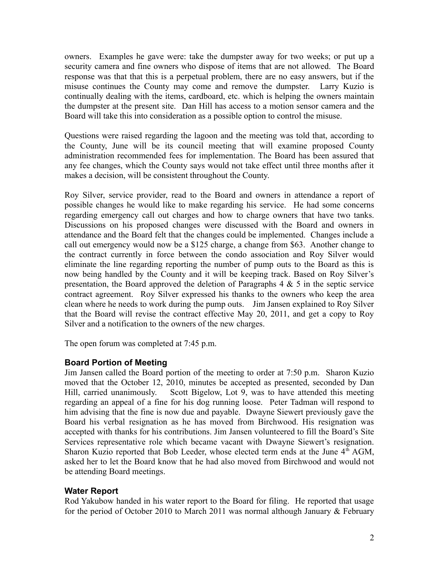owners. Examples he gave were: take the dumpster away for two weeks; or put up a security camera and fine owners who dispose of items that are not allowed. The Board response was that that this is a perpetual problem, there are no easy answers, but if the misuse continues the County may come and remove the dumpster. Larry Kuzio is continually dealing with the items, cardboard, etc. which is helping the owners maintain the dumpster at the present site. Dan Hill has access to a motion sensor camera and the Board will take this into consideration as a possible option to control the misuse.

Questions were raised regarding the lagoon and the meeting was told that, according to the County, June will be its council meeting that will examine proposed County administration recommended fees for implementation. The Board has been assured that any fee changes, which the County says would not take effect until three months after it makes a decision, will be consistent throughout the County.

Roy Silver, service provider, read to the Board and owners in attendance a report of possible changes he would like to make regarding his service. He had some concerns regarding emergency call out charges and how to charge owners that have two tanks. Discussions on his proposed changes were discussed with the Board and owners in attendance and the Board felt that the changes could be implemented. Changes include a call out emergency would now be a \$125 charge, a change from \$63. Another change to the contract currently in force between the condo association and Roy Silver would eliminate the line regarding reporting the number of pump outs to the Board as this is now being handled by the County and it will be keeping track. Based on Roy Silver's presentation, the Board approved the deletion of Paragraphs  $4 \& 5$  in the septic service contract agreement. Roy Silver expressed his thanks to the owners who keep the area clean where he needs to work during the pump outs. Jim Jansen explained to Roy Silver that the Board will revise the contract effective May 20, 2011, and get a copy to Roy Silver and a notification to the owners of the new charges.

The open forum was completed at 7:45 p.m.

#### **Board Portion of Meeting**

Jim Jansen called the Board portion of the meeting to order at 7:50 p.m. Sharon Kuzio moved that the October 12, 2010, minutes be accepted as presented, seconded by Dan Hill, carried unanimously. Scott Bigelow, Lot 9, was to have attended this meeting regarding an appeal of a fine for his dog running loose. Peter Tadman will respond to him advising that the fine is now due and payable. Dwayne Siewert previously gave the Board his verbal resignation as he has moved from Birchwood. His resignation was accepted with thanks for his contributions. Jim Jansen volunteered to fill the Board's Site Services representative role which became vacant with Dwayne Siewert's resignation. Sharon Kuzio reported that Bob Leeder, whose elected term ends at the June  $4<sup>th</sup>$  AGM, asked her to let the Board know that he had also moved from Birchwood and would not be attending Board meetings.

#### **Water Report**

Rod Yakubow handed in his water report to the Board for filing. He reported that usage for the period of October 2010 to March 2011 was normal although January & February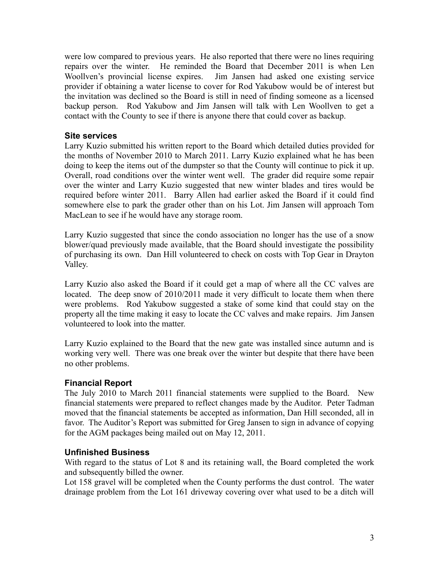were low compared to previous years. He also reported that there were no lines requiring repairs over the winter. He reminded the Board that December 2011 is when Len Woollven's provincial license expires. Jim Jansen had asked one existing service provider if obtaining a water license to cover for Rod Yakubow would be of interest but the invitation was declined so the Board is still in need of finding someone as a licensed backup person. Rod Yakubow and Jim Jansen will talk with Len Woollven to get a contact with the County to see if there is anyone there that could cover as backup.

#### **Site services**

Larry Kuzio submitted his written report to the Board which detailed duties provided for the months of November 2010 to March 2011. Larry Kuzio explained what he has been doing to keep the items out of the dumpster so that the County will continue to pick it up. Overall, road conditions over the winter went well. The grader did require some repair over the winter and Larry Kuzio suggested that new winter blades and tires would be required before winter 2011. Barry Allen had earlier asked the Board if it could find somewhere else to park the grader other than on his Lot. Jim Jansen will approach Tom MacLean to see if he would have any storage room.

Larry Kuzio suggested that since the condo association no longer has the use of a snow blower/quad previously made available, that the Board should investigate the possibility of purchasing its own. Dan Hill volunteered to check on costs with Top Gear in Drayton Valley.

Larry Kuzio also asked the Board if it could get a map of where all the CC valves are located. The deep snow of 2010/2011 made it very difficult to locate them when there were problems. Rod Yakubow suggested a stake of some kind that could stay on the property all the time making it easy to locate the CC valves and make repairs. Jim Jansen volunteered to look into the matter.

Larry Kuzio explained to the Board that the new gate was installed since autumn and is working very well. There was one break over the winter but despite that there have been no other problems.

#### **Financial Report**

The July 2010 to March 2011 financial statements were supplied to the Board. New financial statements were prepared to reflect changes made by the Auditor. Peter Tadman moved that the financial statements be accepted as information, Dan Hill seconded, all in favor. The Auditor's Report was submitted for Greg Jansen to sign in advance of copying for the AGM packages being mailed out on May 12, 2011.

#### **Unfinished Business**

With regard to the status of Lot 8 and its retaining wall, the Board completed the work and subsequently billed the owner.

Lot 158 gravel will be completed when the County performs the dust control. The water drainage problem from the Lot 161 driveway covering over what used to be a ditch will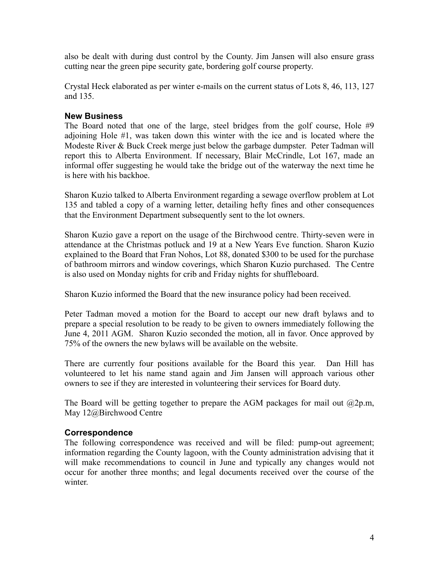also be dealt with during dust control by the County. Jim Jansen will also ensure grass cutting near the green pipe security gate, bordering golf course property.

Crystal Heck elaborated as per winter e-mails on the current status of Lots 8, 46, 113, 127 and 135.

### **New Business**

The Board noted that one of the large, steel bridges from the golf course, Hole #9 adjoining Hole #1, was taken down this winter with the ice and is located where the Modeste River & Buck Creek merge just below the garbage dumpster. Peter Tadman will report this to Alberta Environment. If necessary, Blair McCrindle, Lot 167, made an informal offer suggesting he would take the bridge out of the waterway the next time he is here with his backhoe.

Sharon Kuzio talked to Alberta Environment regarding a sewage overflow problem at Lot 135 and tabled a copy of a warning letter, detailing hefty fines and other consequences that the Environment Department subsequently sent to the lot owners.

Sharon Kuzio gave a report on the usage of the Birchwood centre. Thirty-seven were in attendance at the Christmas potluck and 19 at a New Years Eve function. Sharon Kuzio explained to the Board that Fran Nohos, Lot 88, donated \$300 to be used for the purchase of bathroom mirrors and window coverings, which Sharon Kuzio purchased. The Centre is also used on Monday nights for crib and Friday nights for shuffleboard.

Sharon Kuzio informed the Board that the new insurance policy had been received.

Peter Tadman moved a motion for the Board to accept our new draft bylaws and to prepare a special resolution to be ready to be given to owners immediately following the June 4, 2011 AGM. Sharon Kuzio seconded the motion, all in favor. Once approved by 75% of the owners the new bylaws will be available on the website.

There are currently four positions available for the Board this year. Dan Hill has volunteered to let his name stand again and Jim Jansen will approach various other owners to see if they are interested in volunteering their services for Board duty.

The Board will be getting together to prepare the AGM packages for mail out  $(22p.m, 12p.m)$ May 12@Birchwood Centre

#### **Correspondence**

The following correspondence was received and will be filed: pump-out agreement; information regarding the County lagoon, with the County administration advising that it will make recommendations to council in June and typically any changes would not occur for another three months; and legal documents received over the course of the winter.